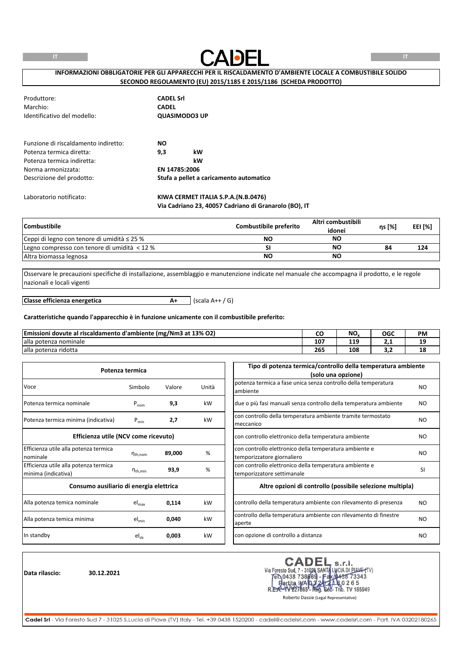

## **INFORMAZIONI OBBLIGATORIE PER GLI APPARECCHI PER IL RISCALDAMENTO D'AMBIENTE LOCALE A COMBUSTIBILE SOLIDO SECONDO REGOLAMENTO (EU) 2015/1185 E 2015/1186 (SCHEDA PRODOTTO)**

|                      | <b>CADEL Srl</b>                        |  |
|----------------------|-----------------------------------------|--|
| <b>CADEL</b>         |                                         |  |
| <b>QUASIMODO3 UP</b> |                                         |  |
| <b>NO</b>            |                                         |  |
| 9,3                  | kW                                      |  |
|                      | kW                                      |  |
| EN 14785:2006        |                                         |  |
|                      | Stufa a pellet a caricamento automatico |  |
|                      |                                         |  |

### Laboratorio notificato: **KIWA CERMET ITALIA S.P.A.(N.B.0476) Via Cadriano 23, 40057 Cadriano di Granarolo (BO), IT**

| Combustibile_                                    | Combustibile preferito | Altri combustibili<br>idonei | ns [%] | EEI [%] |
|--------------------------------------------------|------------------------|------------------------------|--------|---------|
| Ceppi di legno con tenore di umidità $\leq$ 25 % | <b>NO</b>              | <b>NO</b>                    |        |         |
| Legno compresso con tenore di umidità < 12 %     |                        | ΝO                           | 84     | 124     |
| Altra biomassa legnosa                           | <b>NO</b>              | <b>NO</b>                    |        |         |

Osservare le precauzioni specifiche di installazione, assemblaggio e manutenzione indicate nel manuale che accompagna il prodotto, e le regole nazionali e locali vigenti

**A+** (scala A++ / G) **Classe efficienza energetica**

#### **Caratteristiche quando l'apparecchio è in funzione unicamente con il combustibile preferito:**

| Emissioni dovute al r<br><sup>1</sup> riscaldamento d'ambiente (mg/Nm3 at 13% O2) | uu  | NO.      | OGC | <b>PM</b> |
|-----------------------------------------------------------------------------------|-----|----------|-----|-----------|
| alla potenza nominale                                                             | 107 | 10<br>ᆂᆂ | .   | 10<br>--  |
| alla potenza ridotta                                                              | 265 | 108      | -   | 18        |

|                                         | Potenza termica        |        |       | Tipo di potenza termica/controllo della temperatura ambiente      |           |
|-----------------------------------------|------------------------|--------|-------|-------------------------------------------------------------------|-----------|
|                                         |                        |        |       | (solo una opzione)                                                |           |
| Voce                                    | Simbolo                | Valore | Unità | potenza termica a fase unica senza controllo della temperatura    | NO.       |
|                                         |                        |        |       | ambiente                                                          |           |
| Potenza termica nominale                | $P_{nom}$              | 9,3    | kW    | due o più fasi manuali senza controllo della temperatura ambiente | NO.       |
|                                         |                        |        |       | con controllo della temperatura ambiente tramite termostato       |           |
| Potenza termica minima (indicativa)     | kW<br>$P_{min}$<br>2,7 |        |       | meccanico                                                         | NO        |
| Efficienza utile (NCV come ricevuto)    |                        |        |       | con controllo elettronico della temperatura ambiente              | NO.       |
| Efficienza utile alla potenza termica   |                        |        |       | con controllo elettronico della temperatura ambiente e            |           |
| nominale                                | $n_{th,nom}$           | 89,000 | %     | temporizzatore giornaliero                                        | NO.       |
| Efficienza utile alla potenza termica   |                        |        | %     | con controllo elettronico della temperatura ambiente e            | <b>SI</b> |
| minima (indicativa)                     | $n_{\text{th,min}}$    | 93,9   |       | temporizzatore settimanale                                        |           |
| Consumo ausiliario di energia elettrica |                        |        |       | Altre opzioni di controllo (possibile selezione multipla)         |           |
| Alla potenza temica nominale            | $el_{\text{max}}$      | 0,114  | kW    | controllo della temperatura ambiente con rilevamento di presenza  | <b>NO</b> |
|                                         |                        |        |       | controllo della temperatura ambiente con rilevamento di finestre  | NO.       |
| Alla potenza temica minima              | $el_{min}$             | 0,040  | kW    | aperte                                                            |           |
| In standby                              | $el_{sb}$              | 0,003  | kW    | con opzione di controllo a distanza                               | NO.       |
|                                         |                        |        |       |                                                                   |           |

**Data rilascio: 30.12.2021**

CADEL s.r.l.<br>Via Foresto Sud, 7 - 31026 SANTA LUCIA DI PIAVE (TV)<br>Fen 0438 738669 - Fax 0438 73343<br>Fartita INA 0.322 71 8.0 2 6 5 **CADEL** 227665 - Reg. Soc- Trib. TV 185949 R.E

Roberto Dassie (Legal Representative)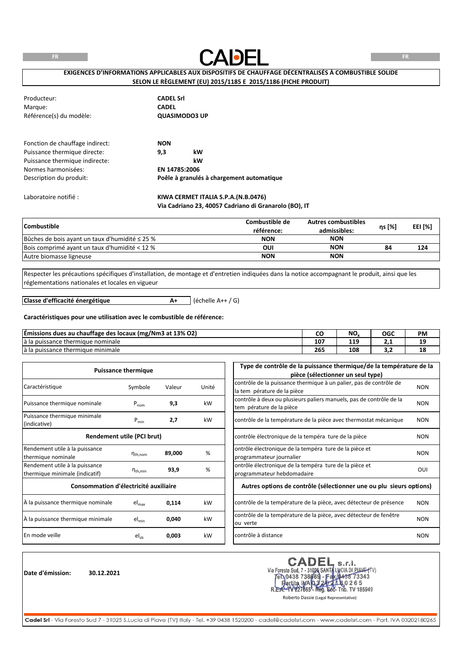**FR**



**FR**

## **EXIGENCES D'INFORMATIONS APPLICABLES AUX DISPOSITIFS DE CHAUFFAGE DÉCENTRALISÉS À COMBUSTIBLE SOLIDE SELON LE RÈGLEMENT (EU) 2015/1185 E 2015/1186 (FICHE PRODUIT)**

| Producteur:                     | <b>CADEL Srl</b>                          |
|---------------------------------|-------------------------------------------|
| Margue:                         | <b>CADEL</b>                              |
| Référence(s) du modèle:         | <b>QUASIMODO3 UP</b>                      |
| Fonction de chauffage indirect: | <b>NON</b>                                |
| Puissance thermique directe:    | kW<br>9,3                                 |
| Puissance thermique indirecte:  | kW                                        |
| Normes harmonisées:             | EN 14785:2006                             |
| Description du produit:         | Poêle à granulés à chargement automatique |
| Laboratoire notifié :           | KIWA CERMET ITALIA S.P.A.(N.B.0476)       |

## **Via Cadriano 23, 40057 Cadriano di Granarolo (BO), IT**

| <b>Combustible</b>                                  | Combustible de<br>référence: | <b>Autres combustibles</b><br>admissibles: | ns [%] | EEI [%] |
|-----------------------------------------------------|------------------------------|--------------------------------------------|--------|---------|
| Bûches de bois ayant un taux d'humidité $\leq$ 25 % | <b>NON</b>                   | <b>NON</b>                                 |        |         |
| Bois comprimé avant un taux d'humidité < 12 %       | OUI                          | <b>NON</b>                                 | 84     | 124     |
| Autre biomasse ligneuse                             | <b>NON</b>                   | <b>NON</b>                                 |        |         |

Respecter les précautions spécifiques d'installation, de montage et d'entretien indiquées dans la notice accompagnant le produit, ainsi que les réglementations nationales et locales en vigueur

**Classe d'efficacité énergétique**

**A+** (échelle A++ / G)

## **Caractéristiques pour une utilisation avec le combustible de référence:**

| Emissions dues au chauffage des locaux (mg/Nm3 at 13% O2) | w   | NO. | OGC | <b>PM</b> |
|-----------------------------------------------------------|-----|-----|-----|-----------|
| a la puissance :<br>e thermique nominale                  | 107 | 119 | .   | 10<br>--  |
| lá la puissance thermique minimale i                      | 265 | 108 | --  | 18        |

|                                       | <b>Puissance thermique</b> |        |                          | Type de contrôle de la puissance thermique/de la température de la  |            |
|---------------------------------------|----------------------------|--------|--------------------------|---------------------------------------------------------------------|------------|
|                                       |                            |        |                          | pièce (sélectionner un seul type)                                   |            |
| Caractéristique                       |                            | Valeur | Unité                    | contrôle de la puissance thermique à un palier, pas de contrôle de  | <b>NON</b> |
|                                       | Symbole                    |        |                          | la tem pérature de la pièce                                         |            |
| Puissance thermique nominale          |                            | 9,3    | kW                       | contrôle à deux ou plusieurs paliers manuels, pas de contrôle de la | <b>NON</b> |
| $P_{nom}$                             |                            |        | tem pérature de la pièce |                                                                     |            |
| Puissance thermique minimale          |                            |        | kW                       | contrôle de la température de la pièce avec thermostat mécanique    | <b>NON</b> |
| (indicative)                          | $P_{min}$                  | 2,7    |                          |                                                                     |            |
|                                       | Rendement utile (PCI brut) |        |                          | contrôle électronique de la tempéra ture de la pièce                | <b>NON</b> |
| Rendement utile à la puissance        |                            |        |                          | ontrôle électronique de la tempéra ture de la pièce et              |            |
| thermique nominale                    | $n_{th,nom}$               | 89,000 | %                        | programmateur journalier                                            | <b>NON</b> |
|                                       |                            |        |                          |                                                                     |            |
| Rendement utile à la puissance        | $\eta_{\text{th,min}}$     | 93,9   | %                        | ontrôle électronique de la tempéra ture de la pièce et              | OUI        |
| thermique minimale (indicatif)        |                            |        |                          | programmateur hebdomadaire                                          |            |
| Consommation d'électricité auxiliaire |                            |        |                          | Autres options de contrôle (sélectionner une ou plu sieurs options) |            |
| À la puissance thermique nominale     | el <sub>max</sub>          | 0,114  | kW                       | contrôle de la température de la pièce, avec détecteur de présence  | <b>NON</b> |
| À la puissance thermique minimale     | $el_{min}$                 | 0,040  | kW                       | contrôle de la température de la pièce, avec détecteur de fenêtre   | <b>NON</b> |
|                                       |                            |        |                          | ou verte                                                            |            |
| En mode veille                        | $el_{ch}$                  | 0,003  | kW                       | contrôle à distance                                                 | <b>NON</b> |

**Date d'émission: 30.12.2021**

Via Foresto Sud, 7 - 31026 SANTA LUCIA DI PIANE (TV)<br>
TEN 0438 738669 - Fax 0438 73343<br>
Partita IMA 0.3 20 20 20 26 5<br>
REA-1V227665 - Reg. 668- Trib. TV 185949 **CADEL** 

Roberto Dassie (Legal Representative)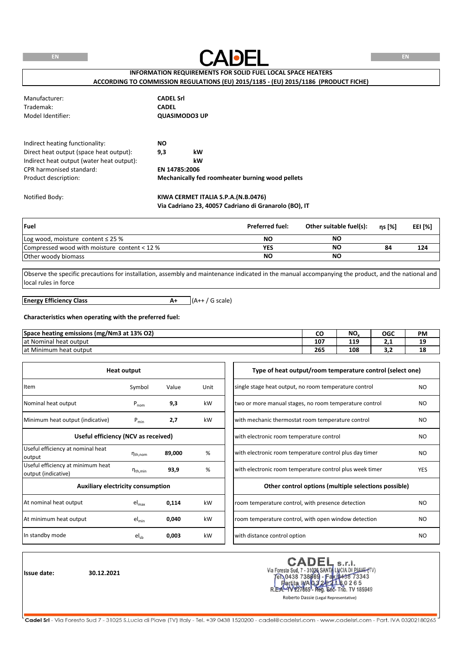|  | i |  |
|--|---|--|
|  |   |  |



# **INFORMATION REQUIREMENTS FOR SOLID FUEL LOCAL SPACE HEATERS**

**ACCORDING TO COMMISSION REGULATIONS (EU) 2015/1185 - (EU) 2015/1186 (PRODUCT FICHE)**

| Manufacturer:     | <b>CADEL Srl</b> |
|-------------------|------------------|
| Trademak:         | <b>CADEL</b>     |
| Model Identifier: | QUASIMODO3 UP    |

| Indirect heating functionality:           | NO.           |                                                  |
|-------------------------------------------|---------------|--------------------------------------------------|
| Direct heat output (space heat output):   | 9.3           | kW                                               |
| Indirect heat output (water heat output): |               | kW                                               |
| CPR harmonised standard:                  | EN 14785:2006 |                                                  |
| Product description:                      |               | Mechanically fed roomheater burning wood pellets |

### Notified Body: **KIWA CERMET ITALIA S.P.A.(N.B.0476) Via Cadriano 23, 40057 Cadriano di Granarolo (BO), IT**

| <b>Fuel</b>                                  | <b>Preferred fuel:</b> | Other suitable fuel(s): | ns [%] | EEI [%] |
|----------------------------------------------|------------------------|-------------------------|--------|---------|
| Log wood, moisture content $\leq$ 25 %       | <b>NO</b>              | NΟ                      |        |         |
| Compressed wood with moisture content < 12 % | YES                    | <b>NO</b>               | 84     | 124     |
| Other woody biomass                          | NΟ                     | <b>NO</b>               |        |         |

Observe the specific precautions for installation, assembly and maintenance indicated in the manual accompanying the product, and the national and local rules in force

**A+** (A++ / G scale) **Energy Efficiency Class**

#### **Characteristics when operating with the preferred fuel:**

| Space heating emissions (mg/Nm3 at 13% O2) | ◡◡  | NO. | OGC | <b>PM</b> |
|--------------------------------------------|-----|-----|-----|-----------|
| at Nominal heat output                     | 107 | 119 |     | 19        |
| at Minimum<br>heat output                  | 265 | 108 | --  | 18        |

| <b>Heat output</b>                                       |                     |        |      | Type of heat output/room temperature control (select one) |                |
|----------------------------------------------------------|---------------------|--------|------|-----------------------------------------------------------|----------------|
| Item                                                     | Symbol              | Value  | Unit | single stage heat output, no room temperature control     | NO.            |
| Nominal heat output                                      | $P_{nom}$           | 9,3    | kW   | two or more manual stages, no room temperature control    | N <sub>O</sub> |
| Minimum heat output (indicative)                         | $P_{min}$           | 2,7    | kW   | with mechanic thermostat room temperature control         | N <sub>O</sub> |
| Useful efficiency (NCV as received)                      |                     |        |      | with electronic room temperature control                  | NO.            |
| Useful efficiency at nominal heat<br>output              | $n_{th,nom}$        | 89,000 | %    | with electronic room temperature control plus day timer   | NO.            |
| Useful efficiency at minimum heat<br>output (indicative) | $n_{\text{th,min}}$ | 93,9   | %    | with electronic room temperature control plus week timer  | <b>YES</b>     |
| <b>Auxiliary electricity consumption</b>                 |                     |        |      | Other control options (multiple selections possible)      |                |
| At nominal heat output                                   | $el_{max}$          | 0,114  | kW   | room temperature control, with presence detection         | N <sub>O</sub> |
| At minimum heat output                                   | $el_{min}$          | 0,040  | kW   | room temperature control, with open window detection      | N <sub>O</sub> |
| In standby mode                                          | $el_{sb}$           | 0,003  | kW   | with distance control option                              | NO.            |

**Issue date: 30.12.2021**

CADEL s.r.l.<br>Via Foresto Sud, 7 - 31026 SANTA LUCIA DI PIAVE (TV)<br>FR.0438 738669 - Fax (1438 73343<br>R.E. - W22765- Rep. 602- Trib. TV 185949<br>R.E. - W22765- Rep. 602- Trib. TV 185949<br>Roberto Dassie (Legal Representative)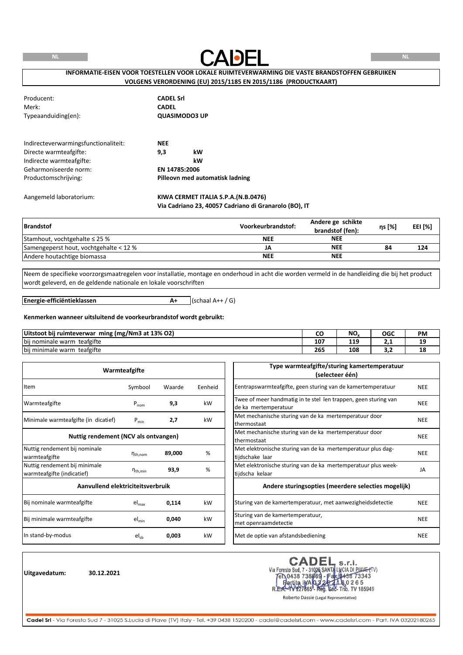

## **INFORMATIE-EISEN VOOR TOESTELLEN VOOR LOKALE RUIMTEVERWARMING DIE VASTE BRANDSTOFFEN GEBRUIKEN VOLGENS VERORDENING (EU) 2015/1185 EN 2015/1186 (PRODUCTKAART)**

| Producent:                           | <b>CADEL Srl</b>                    |
|--------------------------------------|-------------------------------------|
| Merk:                                | <b>CADEL</b>                        |
| Typeaanduiding(en):                  | <b>QUASIMODO3 UP</b>                |
| Indirecteverwarmingsfunctionaliteit: | <b>NEE</b>                          |
| Directe warmteafgifte:               | kW<br>9,3                           |
| Indirecte warmteafgifte:             | kW                                  |
| Geharmoniseerde norm:                | EN 14785:2006                       |
| Productomschrijving:                 | Pilleovn med automatisk ladning     |
| Aangemeld laboratorium:              | KIWA CERMET ITALIA S.P.A.(N.B.0476) |

## **Via Cadriano 23, 40057 Cadriano di Granarolo (BO), IT**

| <b>Brandstof</b>                       | Voorkeurbrandstof: | Andere ge schikte<br>brandstof (fen): | ηs [%] | EEI [%] |
|----------------------------------------|--------------------|---------------------------------------|--------|---------|
| Stamhout, vochtgehalte $\leq$ 25 %     | <b>NEE</b>         | <b>NEE</b>                            |        |         |
| Samengeperst hout, vochtgehalte < 12 % | JA                 | <b>NEE</b>                            | 84     | 124     |
| Andere houtachtige biomassa            | <b>NEE</b>         | <b>NEE</b>                            |        |         |

Neem de specifieke voorzorgsmaatregelen voor installatie, montage en onderhoud in acht die worden vermeld in de handleiding die bij het product wordt geleverd, en de geldende nationale en lokale voorschriften

**Energie-efficiëntieklassen**

 $A+$  (schaal  $A++$  / G)

#### **Kenmerken wanneer uitsluitend de voorkeurbrandstof wordt gebruikt:**

| ; (mg/Nm3 at 13% O2)<br>Uitstoot bii ruimteverwar<br>ming |     | NΟ     | OGC      | PM |
|-----------------------------------------------------------|-----|--------|----------|----|
| teafgifte<br>$\cdots$<br>bij nominale warm                | 107 | 10<br> | <u>.</u> | -- |
| teafgifte<br>$\cdot \cdot$<br>bij minimale<br>: warm      | 265 | 108    | . .      | 18 |

| Warmteafgifte                                               |                      |        |         | Type warmteafgifte/sturing kamertemperatuur<br>(selecteer één)                          |            |
|-------------------------------------------------------------|----------------------|--------|---------|-----------------------------------------------------------------------------------------|------------|
| Item                                                        | Symbool              | Waarde | Eenheid | Eentrapswarmteafgifte, geen sturing van de kamertemperatuur                             | <b>NEE</b> |
| Warmteafgifte                                               | $P_{nom}$            | 9,3    | kW      | Twee of meer handmatig in te stel len trappen, geen sturing van<br>de ka mertemperatuur | <b>NEE</b> |
| Minimale warmteafgifte (in dicatief)                        | $P_{min}$            | 2,7    | kW      | Met mechanische sturing van de ka mertemperatuur door<br>thermostaat                    | <b>NEE</b> |
| Nuttig rendement (NCV als ontvangen)                        |                      |        |         | Met mechanische sturing van de ka mertemperatuur door<br>thermostaat                    | <b>NEE</b> |
| Nuttig rendement bij nominale<br>warmteafgifte              | $n_{\text{th}$ , nom | 89,000 | %       | Met elektronische sturing van de ka mertemperatuur plus dag-<br>tijdschake laar         | <b>NEE</b> |
| Nuttig rendement bij minimale<br>warmteafgifte (indicatief) | $n_{\text{th,min}}$  | 93,9   | %       | Met elektronische sturing van de ka mertemperatuur plus week-<br>tijdscha kelaar        | JA         |
| Aanvullend elektriciteitsverbruik                           |                      |        |         | Andere sturingsopties (meerdere selecties mogelijk)                                     |            |
| Bij nominale warmteafgifte                                  | $el_{max}$           | 0,114  | kW      | Sturing van de kamertemperatuur, met aanwezigheidsdetectie                              | <b>NEE</b> |
| Bij minimale warmteafgifte                                  | $el_{min}$           | 0,040  | kW      | Sturing van de kamertemperatuur,<br>met openraamdetectie                                | <b>NEE</b> |
| In stand-by-modus                                           | $el_{sb}$            | 0,003  | kW      | Met de optie van afstandsbediening                                                      | <b>NEE</b> |

**Uitgavedatum: 30.12.2021**

Via Foresto Sud, 7 - 31026 SANTA LUCIA DI PIAVE (TV)<br>
Ten 0438 738869 - Fax 0438 73343<br>
Partita IMA 032221665 - Rep. 802- Trib. TV 185949<br>
R.E.A. TV 227665 - Reg. 802- Trib. TV 185949<br>
Roberto Dassie (Legal Representative)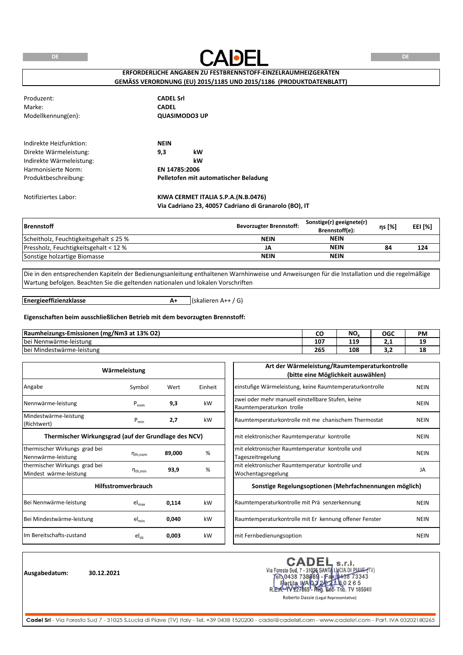**DE**



**DE**

## **ERFORDERLICHE ANGABEN ZU FESTBRENNSTOFF-EINZELRAUMHEIZGERÄTEN GEMÄSS VERORDNUNG (EU) 2015/1185 UND 2015/1186 (PRODUKTDATENBLATT)**

Produzent: **CADEL Srl** Marke: **CADEL** Modellkennung(en):

**QUASIMODO3 UP**

| Indirekte Heizfunktion:  | <b>NEIN</b>   |                                       |
|--------------------------|---------------|---------------------------------------|
| Direkte Wärmeleistung:   | 9.3           | kW                                    |
| Indirekte Wärmeleistung: |               | kW                                    |
| Harmonisierte Norm:      | EN 14785:2006 |                                       |
| Produktbeschreibung:     |               | Pelletofen mit automatischer Beladung |

### Notifiziertes Labor: **KIWA CERMET ITALIA S.P.A.(N.B.0476) Via Cadriano 23, 40057 Cadriano di Granarolo (BO), IT**

| <b>Brennstoff</b>                           | <b>Bevorzugter Brennstoff:</b> | Sonstige(r) geeignete(r)<br>Brennstoff(e): | ns [%] | EEI [%] |
|---------------------------------------------|--------------------------------|--------------------------------------------|--------|---------|
| Scheitholz, Feuchtigkeitsgehalt $\leq$ 25 % | <b>NEIN</b>                    | <b>NEIN</b>                                |        |         |
| Pressholz, Feuchtigkeitsgehalt < 12 %       | JA                             | <b>NEIN</b>                                | 84     | 124     |
| Sonstige holzartige Biomasse                | <b>NEIN</b>                    | <b>NEIN</b>                                |        |         |

Die in den entsprechenden Kapiteln der Bedienungsanleitung enthaltenen Warnhinweise und Anweisungen für die Installation und die regelmäßige Wartung befolgen. Beachten Sie die geltenden nationalen und lokalen Vorschriften

**Energieeffizienzklasse**

**A+** (skalieren A++ / G)

#### **Eigenschaften beim ausschließlichen Betrieb mit dem bevorzugten Brennstoff:**

| (mg/Nm3 at 13% O2)<br>Raumheizungs-Emissionen |                 | NO.                    | OGC | <b>PM</b> |
|-----------------------------------------------|-----------------|------------------------|-----|-----------|
| <b>bei</b><br>. .<br>i Nennwärme-leistung     | 10 <sup>7</sup> | 10 <sup>1</sup><br>--- | ـ   | --        |
| i Mindestwärme-leistung<br>bei                | 265             | 108                    | .   | 18        |

| Wärmeleistung                                           |                            |        |         | Art der Wärmeleistung/Raumtemperaturkontrolle<br>(bitte eine Möglichkeit auswählen) |             |
|---------------------------------------------------------|----------------------------|--------|---------|-------------------------------------------------------------------------------------|-------------|
| Angabe                                                  | Symbol                     | Wert   | Einheit | einstufige Wärmeleistung, keine Raumtemperaturkontrolle                             | <b>NEIN</b> |
| Nennwärme-leistung                                      | $P_{nom}$                  | 9,3    | kW      | zwei oder mehr manuell einstellbare Stufen, keine<br>Raumtemperaturkon trolle       | <b>NEIN</b> |
| Mindestwärme-leistung<br>(Richtwert)                    | $P_{min}$                  | 2,7    | kW      | Raumtemperaturkontrolle mit me chanischem Thermostat                                | <b>NEIN</b> |
| Thermischer Wirkungsgrad (auf der Grundlage des NCV)    |                            |        |         | mit elektronischer Raumtemperatur kontrolle                                         | <b>NEIN</b> |
| thermischer Wirkungs grad bei<br>Nennwärme-leistung     | $n_{th,nom}$               | 89,000 | %       | mit elektronischer Raumtemperatur kontrolle und<br>Tageszeitregelung                | <b>NEIN</b> |
| thermischer Wirkungs grad bei<br>Mindest wärme-leistung | $\eta_{\text{th,min}}$     | 93,9   | %       | mit elektronischer Raumtemperatur kontrolle und<br>Wochentagsregelung               | JA          |
|                                                         | <b>Hilfsstromverbrauch</b> |        |         | Sonstige Regelungsoptionen (Mehrfachnennungen möglich)                              |             |
| Bei Nennwärme-leistung                                  | $el_{max}$                 | 0,114  | kW      | Raumtemperaturkontrolle mit Prä senzerkennung                                       | <b>NEIN</b> |
| Bei Mindestwärme-leistung                               | $el_{min}$                 | 0,040  | kW      | Raumtemperaturkontrolle mit Er kennung offener Fenster                              | <b>NEIN</b> |
| Im Bereitschafts-zustand                                | $el_{ch}$                  | 0,003  | kW      | mit Fernbedienungsoption                                                            | <b>NEIN</b> |

**Ausgabedatum: 30.12.2021**

**CADEI** s.r.l. Via Foresto Sud, 7 - 31026 SANTA LUCIA DI PIANE (TV)<br>
Ten 0438 738669 - Fax 0438 73343<br>
Partita IMA 032021 R 80 265<br>
REA-4V227665 - Reg. 66 - Trib. TV 185949

Roberto Dassie (Legal Representative)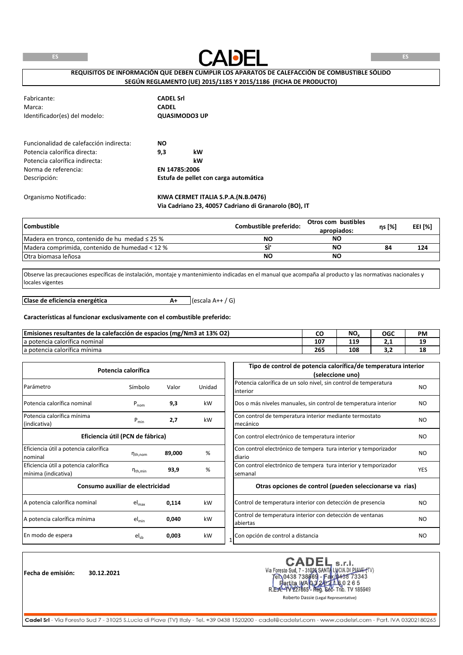

## **REQUISITOS DE INFORMACIÓN QUE DEBEN CUMPLIR LOS APARATOS DE CALEFACCIÓN DE COMBUSTIBLE SÓLIDO SEGÚN REGLAMENTO (UE) 2015/1185 Y 2015/1186 (FICHA DE PRODUCTO)**

| Fabricante:<br>Marca:<br>Identificador(es) del modelo: | <b>CADEL Srl</b><br><b>CADEL</b><br><b>QUASIMODO3 UP</b> |                                       |
|--------------------------------------------------------|----------------------------------------------------------|---------------------------------------|
| Euncionalidad de calefacción indirecta:                | <b>NO</b>                                                |                                       |
| Potencia calorífica directa:                           | 9,3                                                      | kW                                    |
| Potencia calorífica indirecta:                         |                                                          | kW                                    |
| Norma de referencia:                                   | EN 14785:2006                                            |                                       |
| Descripción:                                           |                                                          | Estufa de pellet con carga automática |
| Organismo Notificado:                                  |                                                          | KIWA CERMET ITALIA S.P.A.(N.B.0476)   |

## **Via Cadriano 23, 40057 Cadriano di Granarolo (BO), IT**

| <b>Combustible</b>                                  | Combustible preferido: | Otros com bustibles<br>apropiados: | ns [%] | EEI [%] |
|-----------------------------------------------------|------------------------|------------------------------------|--------|---------|
| Madera en tronco, contenido de hu medad $\leq$ 25 % | NΟ                     | NΟ                                 |        |         |
| Madera comprimida, contenido de humedad < 12 %      |                        | NΟ                                 | 84     | 124     |
| <b>IOtra biomasa leñosa</b>                         | <b>NO</b>              | NΟ                                 |        |         |

Observe las precauciones específicas de instalación, montaje y mantenimiento indicadas en el manual que acompaña al producto y las normativas nacionales y locales vigentes

**A+** (escala A++ / G) **Clase de eficiencia energética**

#### **Características al funcionar exclusivamente con el combustible preferido:**

| Emisiones resultantes de la calefacción de espacios (mg/Nm3 at 13% O2) |     | NO.        | OGC | <b>PM</b> |
|------------------------------------------------------------------------|-----|------------|-----|-----------|
| $\overline{\phantom{a}}$<br>la potencia calorífica nominal             | 107 | 110<br>--- | .   | --        |
| $\overline{\phantom{a}}$<br>la potencia calorífica minima              | 265 | 108        | $-$ | 18        |

| Potencia calorífica                                          |                        |        |        | Tipo de control de potencia calorífica/de temperatura interior<br>(seleccione uno) |            |
|--------------------------------------------------------------|------------------------|--------|--------|------------------------------------------------------------------------------------|------------|
| Parámetro                                                    | Símbolo                | Valor  | Unidad | Potencia calorífica de un solo nivel, sin control de temperatura<br>interior       | NO.        |
| Potencia calorífica nominal                                  | $P_{nom}$              | 9,3    | kW     | Dos o más niveles manuales, sin control de temperatura interior                    | NO.        |
| Potencia calorífica mínima<br>(indicativa)                   | $P_{min}$              | 2,7    | kW     | Con control de temperatura interior mediante termostato<br>mecánico                | NO.        |
| Eficiencia útil (PCN de fábrica)                             |                        |        |        | Con control electrónico de temperatura interior                                    | NO.        |
| Eficiencia útil a potencia calorífica<br>nominal             | $n_{th,nom}$           | 89,000 | %      | Con control electrónico de tempera tura interior y temporizador<br>diario          | NO.        |
| Eficiencia útil a potencia calorífica<br>mínima (indicativa) | $\eta_{\text{th,min}}$ | 93,9   | %      | Con control electrónico de tempera tura interior y temporizador<br>semanal         | <b>YES</b> |
| Consumo auxiliar de electricidad                             |                        |        |        | Otras opciones de control (pueden seleccionarse va rias)                           |            |
| A potencia calorífica nominal                                | $el_{max}$             | 0,114  | kW     | Control de temperatura interior con detección de presencia                         | NO.        |
| A potencia calorífica mínima                                 | $el_{min}$             | 0,040  | kW     | Control de temperatura interior con detección de ventanas<br>abiertas              | NO.        |
| En modo de espera                                            | $el_{sb}$              | 0,003  | kW     | Con opción de control a distancia                                                  | NO.        |

**Fecha de emisión: 30.12.2021**

CADEI s.r.l. Via Foresto Sud, 7 - 31026 SANTA LUCIA DI PIAVE (TV)<br>Tel 0438 738869 - Fax 0438 73343 ta IWA 0.3 20 1 h 8.0 2 6 5<br>1227665 - Reg. Soc- Trib. TV 185949 artita IMA 03 R.E

Roberto Dassie (Legal Representative)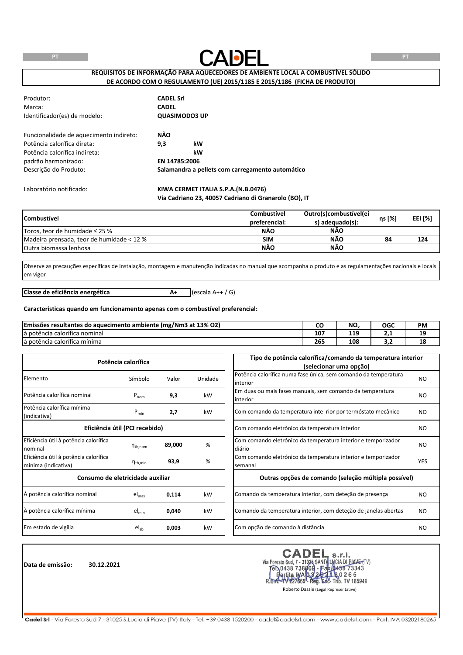

**REQUISITOS DE INFORMAÇÃO PARA AQUECEDORES DE AMBIENTE LOCAL A COMBUSTÍVEL SÓLIDO DE ACORDO COM O REGULAMENTO (UE) 2015/1185 E 2015/1186 (FICHA DE PRODUTO)**

| Produtor:<br>Marca:<br>Identificador(es) de modelo: | <b>CADEL Srl</b><br><b>CADEL</b> | <b>QUASIMODO3 UP</b>                                  |
|-----------------------------------------------------|----------------------------------|-------------------------------------------------------|
| Funcionalidade de aquecimento indireto:             | NÃO                              |                                                       |
| Potência calorífica direta:                         | 9,3                              | kW                                                    |
| Potência calorífica indireta:                       |                                  | kW                                                    |
| padrão harmonizado:                                 | EN 14785:2006                    |                                                       |
| Descrição do Produto:                               |                                  | Salamandra a pellets com carregamento automático      |
| Laboratório notificado:                             |                                  | KIWA CERMET ITALIA S.P.A.(N.B.0476)                   |
|                                                     |                                  | Via Cadriano 23, 40057 Cadriano di Granarolo (BO), IT |

| <b>Combustível</b>                        | Combustível<br>preferencial: | Outro(s)combustível(ei<br>s) adequado(s): | ηs [%] | EEI [%] |
|-------------------------------------------|------------------------------|-------------------------------------------|--------|---------|
| Toros, teor de humidade $\leq$ 25 %       | NÃO                          | <b>NÃO</b>                                |        |         |
| Madeira prensada, teor de humidade < 12 % | <b>SIM</b>                   | NÃO                                       | 84     | 124     |
| Outra biomassa lenhosa                    | <b>NÃO</b>                   | <b>NÃO</b>                                |        |         |

Observe as precauções específicas de instalação, montagem e manutenção indicadas no manual que acompanha o produto e as regulamentações nacionais e locais em vigor

**A+** (escala A++ / G) **Classe de eficiência energética**

## **Características quando em funcionamento apenas com o combustível preferencial:**

| Emissões resultantes do<br>(mg/Nm3 at 13% O2) ?<br>aquecimento ambiente ( | ີ               | NO. | OGC | <b>PM</b> |
|---------------------------------------------------------------------------|-----------------|-----|-----|-----------|
| $\cdots$<br>là potência calorífica nominal                                | 10 <sup>7</sup> | 119 | .   | 19        |
| $\overline{\phantom{a}}$<br>ja potencia calorífica mínima                 | 265             | 108 | -   | 18        |

| Potência calorífica                                          |                                |        |         | Tipo de potência calorífica/comando da temperatura interior                 |            |  |  |
|--------------------------------------------------------------|--------------------------------|--------|---------|-----------------------------------------------------------------------------|------------|--|--|
|                                                              |                                |        |         | (selecionar uma opção)                                                      |            |  |  |
| Elemento                                                     | Símbolo                        | Valor  | Unidade | Potência calorífica numa fase única, sem comando da temperatura<br>interior | NO.        |  |  |
| Potência calorífica nominal                                  | $P_{nom}$                      | 9,3    | kW      | Em duas ou mais fases manuais, sem comando da temperatura<br>interior       | NO.        |  |  |
| Potência calorífica mínima<br>(indicativa)                   | $P_{min}$                      | 2,7    | kW      | Com comando da temperatura inte rior por termóstato mecânico                | <b>NO</b>  |  |  |
|                                                              | Eficiência útil (PCI recebido) |        |         | Com comando eletrónico da temperatura interior                              | NO.        |  |  |
| Eficiência útil à potência calorífica<br>nominal             | $n_{\text{th}$ , nom           | 89,000 | %       | Com comando eletrónico da temperatura interior e temporizador<br>diário     | <b>NO</b>  |  |  |
| Eficiência útil à potência calorífica<br>mínima (indicativa) | $\eta_{\text{th,min}}$         | 93,9   | %       | Com comando eletrónico da temperatura interior e temporizador<br>semanal    | <b>YES</b> |  |  |
| Consumo de eletricidade auxiliar                             |                                |        |         | Outras opções de comando (seleção múltipla possível)                        |            |  |  |
| À potência calorífica nominal                                | el <sub>max</sub>              | 0,114  | kW      | Comando da temperatura interior, com deteção de presença                    | NO.        |  |  |
| À potência calorífica mínima                                 | $el_{min}$                     | 0,040  | kW      | Comando da temperatura interior, com deteção de janelas abertas             | NO.        |  |  |
| Em estado de vigília                                         | $el_{sb}$                      | 0,003  | kW      | Com opção de comando à distância                                            | NO.        |  |  |

**Data de emissão: 30.12.2021**

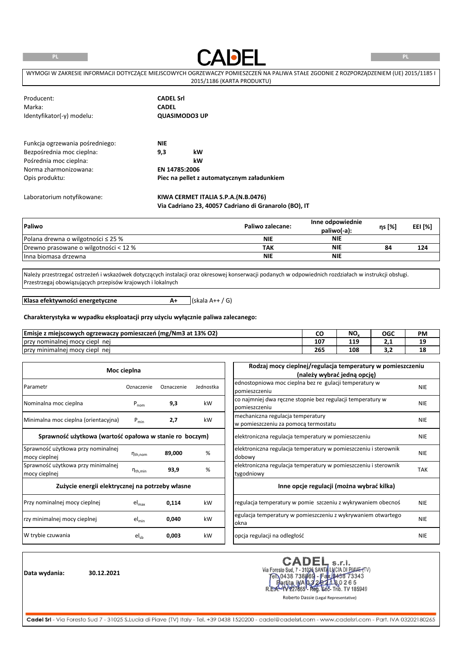**PL**



**PL**

| WYMOGI W ZAKRESIE INFORMACJI DOTYCZACE MIEJSCOWYCH OGRZEWACZY POMIESZCZEŃ NA PALIWA STAŁE ZGODNIE Z ROZPORZADZENIEM (UE) 2015/1185 I |
|--------------------------------------------------------------------------------------------------------------------------------------|
| 2015/1186 (KARTA PRODUKTU)                                                                                                           |

| Producent:                      | <b>CADEL Srl</b> |                                            |  |
|---------------------------------|------------------|--------------------------------------------|--|
| Marka:                          | <b>CADEL</b>     |                                            |  |
| Identyfikator(-y) modelu:       |                  | <b>QUASIMODO3 UP</b>                       |  |
| Funkcja ogrzewania pośredniego: | <b>NIE</b>       |                                            |  |
| Bezpośrednia moc cieplna:       | 9,3              | kW                                         |  |
| Pośrednia moc cieplna:          |                  | kW                                         |  |
| Norma zharmonizowana:           | EN 14785:2006    |                                            |  |
| Opis produktu:                  |                  | Piec na pellet z automatycznym załadunkiem |  |
| Laboratorium notyfikowane:      |                  | KIWA CERMET ITALIA S.P.A.(N.B.0476)        |  |

**Via Cadriano 23, 40057 Cadriano di Granarolo (BO), IT**

| Paliwo                                  | Paliwo zalecane: | Inne odpowiednie<br>paliwo(-a): | ns [%] | EEI [%] |
|-----------------------------------------|------------------|---------------------------------|--------|---------|
| Polana drewna o wilgotności $\leq$ 25 % | <b>NIE</b>       | <b>NIE</b>                      |        |         |
| Drewno prasowane o wilgotności < 12 %   | TAK              | <b>NIE</b>                      | 84     | 124     |
| Ilnna biomasa drzewna                   | <b>NIE</b>       | <b>NIE</b>                      |        |         |

Należy przestrzegać ostrzeżeń i wskazówek dotyczących instalacji oraz okresowej konserwacji podanych w odpowiednich rozdziałach w instrukcji obsługi. Przestrzegaj obowiązujących przepisów krajowych i lokalnych

**A+** (skala A++ / G)

**Klasa efektywności energetyczne**

**Charakterystyka w wypadku eksploatacji przy użyciu wyłącznie paliwa zalecanego:**

| s z miejscowych ogrzewaczy pomieszczeń (mg/Nm3 at 13% O2)<br>Emisie | ີ   | NO.        | OGC | <b>PM</b> |
|---------------------------------------------------------------------|-----|------------|-----|-----------|
| Torzy nominalnej mocy ciepl<br>nei                                  | 107 | 110<br>--- | .   | --        |
| Tprzy minimalnej mocy ciepl<br>ne                                   | 265 | 108        | --- | 18        |

|                                                         | Moc cieplna         |            |           | Rodzaj mocy cieplnej/regulacja temperatury w pomieszczeniu<br>(należy wybrać jedną opcję) |            |
|---------------------------------------------------------|---------------------|------------|-----------|-------------------------------------------------------------------------------------------|------------|
| Parametr                                                | Oznaczenie          | Oznaczenie | Jednostka | ednostopniowa moc cieplna bez re gulacji temperatury w<br>pomieszczeniu                   | <b>NIE</b> |
| Nominalna moc cieplna                                   | $P_{nom}$           | 9,3        | kW        | co najmniej dwa ręczne stopnie bez regulacji temperatury w<br>pomieszczeniu               | <b>NIE</b> |
| Minimalna moc cieplna (orientacyjna)                    | $P_{min}$           | 2,7        | kW        | mechaniczna regulacja temperatury<br>w pomieszczeniu za pomocą termostatu                 | <b>NIE</b> |
| Sprawność użytkowa (wartość opałowa w stanie ro boczym) |                     |            |           | elektroniczna regulacja temperatury w pomieszczeniu                                       | <b>NIE</b> |
| Sprawność użytkowa przy nominalnej<br>mocy cieplnej     | $n_{th,nom}$        | 89,000     | %         | elektroniczna regulacja temperatury w pomieszczeniu i sterownik<br>dobowy                 | <b>NIE</b> |
| Sprawność użytkowa przy minimalnej<br>mocy cieplnej     | $n_{\text{th,min}}$ | 93,9       | %         | elektroniczna regulacja temperatury w pomieszczeniu i sterownik<br>tygodniowy             | <b>TAK</b> |
| Zużycie energii elektrycznej na potrzeby własne         |                     |            |           | Inne opcje regulacji (można wybrać kilka)                                                 |            |
| Przy nominalnej mocy cieplnej                           | $el_{max}$          | 0,114      | kW        | regulacja temperatury w pomie szczeniu z wykrywaniem obecnoś                              | <b>NIE</b> |
| rzy minimalnej mocy cieplnej                            | $el_{min}$          | 0,040      | kW        | egulacja temperatury w pomieszczeniu z wykrywaniem otwartego<br>okna                      | <b>NIE</b> |
| W trybie czuwania                                       | $el_{sb}$           | 0,003      | kW        | opcja regulacji na odległość                                                              | <b>NIE</b> |

**Data wydania: 30.12.2021**

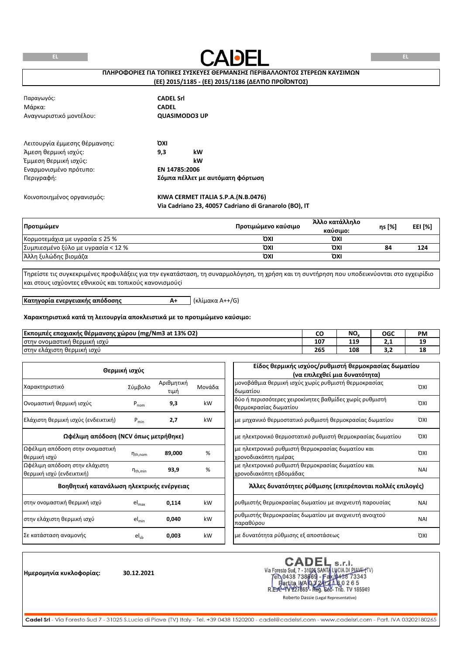

## **ΠΛΗΡΟΦΟΡΙΕΣ ΓΙΑ ΤΟΠΙΚΕΣ ΣΥΣΚΕΥΕΣ ΘΕΡΜΑΝΣΗΣ ΠΕΡΙΒΑΛΛΟΝΤΟΣ ΣΤΕΡΕΩΝ ΚΑΥΣΙΜΩΝ**

## **(ΕΕ) 2015/1185 - (ΕΕ) 2015/1186 (ΔΕΛΤΊΟ ΠΡΟΪΌΝΤΟΣ)**

| Παραγωγός:<br>Μάρκα:<br>Αναγνωριστικό μοντέλου:       | <b>CADEL Srl</b><br><b>CADEL</b><br><b>QUASIMODO3 UP</b> |
|-------------------------------------------------------|----------------------------------------------------------|
| Λειτουργία έμμεσης θέρμανσης:<br>Άμεση θερμική ισχύς: | ΌΧΙ<br>9,3<br>kW                                         |
| Έμμεση θερμική ισχύς:                                 | kW                                                       |
| Εναρμονισμένο πρότυπο:                                | EN 14785:2006                                            |
| Περιγραφή:                                            | Σόμπα πέλλετ με αυτόματη φόρτωση                         |
| Κοινοποιημένος οργανισμός:                            | KIWA CERMET ITALIA S.P.A. (N.B.0476)                     |

**Via Cadriano 23, 40057 Cadriano di Granarolo (BO), IT**

| Προτιμώμεν                          | Προτιμώμενο καύσιμο | Άλλο κατάλληλο<br>καύσιμο: | ηs [%] | EEI [%] |
|-------------------------------------|---------------------|----------------------------|--------|---------|
| Κορμοτεμάχια με υγρασία $\leq 25\%$ | ΌΧΙ                 | ΌΧΙ                        |        |         |
| Συμπιεσμένο ξύλο με υγρασία < 12 %  | ΌΧΙ                 | ΌΧΙ                        | 84     | 124     |
| Άλλη ξυλώδης βιομάζα                | ΌΧΙ                 | ΌΧΙ                        |        |         |

Τηρείστε τις συγκεκριμένες προφυλάξεις για την εγκατάσταση, τη συναρμολόγηση, τη χρήση και τη συντήρηση που υποδεικνύονται στο εγχειρίδιο και στους ισχύοντες εθνικούς και τοπικούς κανονισμούςi

**Κατηγορία ενεργειακής απόδοσης**

**A+** (κλίμακα A++/G)

#### **Χαρακτηριστικά κατά τη λειτουργία αποκλειστικά με το προτιμώμενο καύσιμο:**

| Εκπομπές<br>(mg/Nm3 at 13% O2)<br>ς εποχιακής θέρμανσης χώρου |     | NIC<br>IV. | OGC      | PM |
|---------------------------------------------------------------|-----|------------|----------|----|
| <sup>ή</sup> ισχυ<br>/ ονομαστική<br>ι θερμική<br>στην        | 107 | l 1 O<br>  | <u>.</u> | -- |
| ι θερμική ισχύ<br>στην<br><sup>,</sup> ελάχιστη               | 265 | 108        | . .      | 18 |

|                                           |                     |            |        | Είδος θερμικής ισχύος/ρυθμιστή θερμοκρασίας δωματίου               |            |
|-------------------------------------------|---------------------|------------|--------|--------------------------------------------------------------------|------------|
|                                           | Θερμική ισχύς       |            |        | (να επιλεχθεί μια δυνατότητα)                                      |            |
| Χαρακτηριστικό                            | Σύμβολο             | Αριθμητική | Μονάδα | μονοβάθμια θερμική ισχύς χωρίς ρυθμιστή θερμοκρασίας               | <b>OXI</b> |
|                                           |                     | τιμή       |        | δωματίου                                                           |            |
| Ονομαστική θερμική ισχύς                  |                     | 9,3        | kW     | δύο ή περισσότερες χειροκίνητες βαθμίδες χωρίς ρυθμιστή            | <b>OXI</b> |
|                                           | $P_{nom}$           |            |        | θερμοκρασίας δωματίου                                              |            |
| Ελάχιστη θερμική ισχύς (ενδεικτική)       | $P_{min}$           | 2,7        | kW     | με μηχανικό θερμοστατικό ρυθμιστή θερμοκρασίας δωματίου            | <b>OXI</b> |
| Ωφέλιμη απόδοση (NCV όπως μετρήθηκε)      |                     |            |        | με ηλεκτρονικό θερμοστατικό ρυθμιστή θερμοκρασίας δωματίου         | <b>OXI</b> |
| Ωφέλιμη απόδοση στην ονομαστική           |                     |            |        | με ηλεκτρονικό ρυθμιστή θερμοκρασίας δωματίου και                  |            |
| θερμική ισχύ                              | $n_{th,nom}$        | 89,000     | %      | χρονοδιακόπτη ημέρας                                               | <b>OXI</b> |
| Ωφέλιμη απόδοση στην ελάχιστη             |                     |            |        | με ηλεκτρονικό ρυθμιστή θερμοκρασίας δωματίου και                  |            |
| θερμική ισχύ (ενδεικτική)                 | $n_{\text{th,min}}$ | 93,9       | $\%$   | χρονοδιακόπτη εβδομάδας                                            | NAI        |
| Βοηθητική κατανάλωση ηλεκτρικής ενέργειας |                     |            |        | Άλλες δυνατότητες ρύθμισης (επιτρέπονται πολλές επιλογές)          |            |
| στην ονομαστική θερμική ισχύ              | $el_{max}$          | 0,114      | kW     | ρυθμιστής θερμοκρασίας δωματίου με ανιχνευτή παρουσίας             | <b>NAI</b> |
| στην ελάχιστη θερμική ισχύ                | $el_{min}$          | 0,040      | kW     | ρυθμιστής θερμοκρασίας δωματίου με ανιχνευτή ανοιχτού<br>παραθύρου | <b>NAI</b> |
| Σε κατάσταση αναμονής                     | $el_{sb}$           | 0,003      | kW     | με δυνατότητα ρύθμισης εξ αποστάσεως                               | <b>OXI</b> |

**Ημερομηνία κυκλοφορίας: 30.12.2021**

CADEL S.r.I.<br>Via Foresto Sud, 7 - 31026 SANTA LUCIA DI PIAVE (TV)<br>FR.0438 738669 - Fax (0438 73343<br>R.E.A.- 1V227665 - Reg. 602- Trib. TV 185949<br>Roberto Dassie (Legal Representative) **CADEL**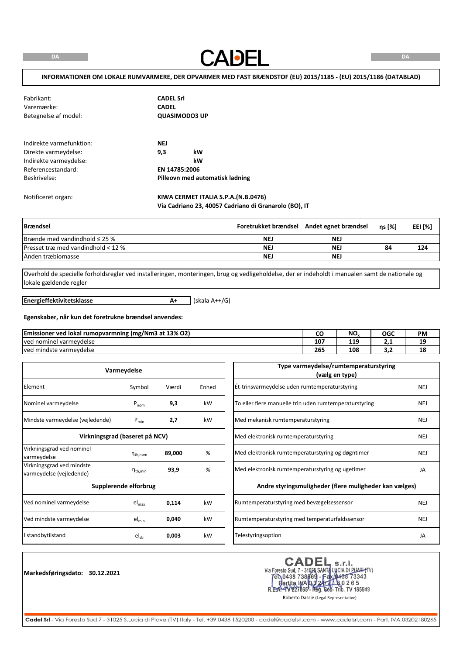**CADEL** 

#### **INFORMATIONER OM LOKALE RUMVARMERE, DER OPVARMER MED FAST BRÆNDSTOF (EU) 2015/1185 - (EU) 2015/1186 (DATABLAD)**

| Fabrikant:<br>Varemærke:<br>Betegnelse af model:                                                                 | <b>CADEL Srl</b><br><b>CADEL</b><br><b>QUASIMODO3 UP</b>                          |
|------------------------------------------------------------------------------------------------------------------|-----------------------------------------------------------------------------------|
| Indirekte varmefunktion:<br>Direkte varmeydelse:<br>Indirekte varmeydelse:<br>Referencestandard:<br>Beskrivelse: | <b>NEJ</b><br>kW<br>9,3<br>kW<br>EN 14785:2006<br>Pilleovn med automatisk ladning |
| Notificeret organ:                                                                                               | KIWA CERMET ITALIA S.P.A.(N.B.0476)                                               |

**Via Cadriano 23, 40057 Cadriano di Granarolo (BO), IT**

| Brændsel                                    |     | Foretrukket brændsel Andet egnet brændsel | ns [%] | EEI [%] |
|---------------------------------------------|-----|-------------------------------------------|--------|---------|
| Brænde med vandindhold $\leq$ 25 %          | NEJ | NEJ                                       |        |         |
| <b>Presset træmed vandindhold &lt; 12 %</b> | NEJ | NE.                                       | 84     | 124     |
| Anden træbiomasse                           | NEJ | <b>NEJ</b>                                |        |         |

Overhold de specielle forholdsregler ved installeringen, monteringen, brug og vedligeholdelse, der er indeholdt i manualen samt de nationale og lokale gældende regler

**Energieffektivitetsklasse**

**A+** (skala A++/G)

#### **Egenskaber, når kun det foretrukne brændsel anvendes:**

| , (mg/Nm3 at 13% O2)<br><b>Emissioner ved</b><br>d lokal rumopvarmning. |        | <b>NIC</b><br>טיי | OGC | PM |
|-------------------------------------------------------------------------|--------|-------------------|-----|----|
| l varmevdelse<br>Tved nominel                                           | $10^-$ | 110<br>449<br>__  | .   | -- |
| ved mindste varmeydelse                                                 | 265    | 108               | .   | ᅟᅩ |

|                                                       | Varmeydelse                    |        |       |
|-------------------------------------------------------|--------------------------------|--------|-------|
| Element                                               | Symbol                         | Værdi  | Enhed |
| Nominel varmeydelse                                   | $P_{nom}$                      | 9,3    | kW    |
| Mindste varmeydelse (vejledende)                      | $P_{min}$                      | 2,7    | kW    |
|                                                       | Virkningsgrad (baseret på NCV) |        |       |
| Virkningsgrad ved nominel<br>varmeydelse              | $n_{\text{th}$ , nom           | 89,000 | %     |
| Virkningsgrad ved mindste<br>varmeydelse (vejledende) | $\eta_{\text{th,min}}$         | 93,9   | %     |
|                                                       | Supplerende elforbrug          |        |       |
| Ved nominel varmeydelse                               | $el_{max}$                     | 0,114  | kW    |
| Ved mindste varmeydelse                               | $el_{min}$                     | 0,040  | kW    |
| I standbytilstand                                     | $el_{sb}$                      | 0,003  | kW    |

**Markedsføringsdato: 30.12.2021**

CADEL S.r.I.<br>Via Foresto Sud, 7 - 31026 SANTA LUCIA DI PIAVE (TV)<br>FR.0438 738669 - Fax (0438 73343<br>R.E.A.- 1V227665 - Reg. 602- Trib. TV 185949<br>Roberto Dassie (Legal Representative)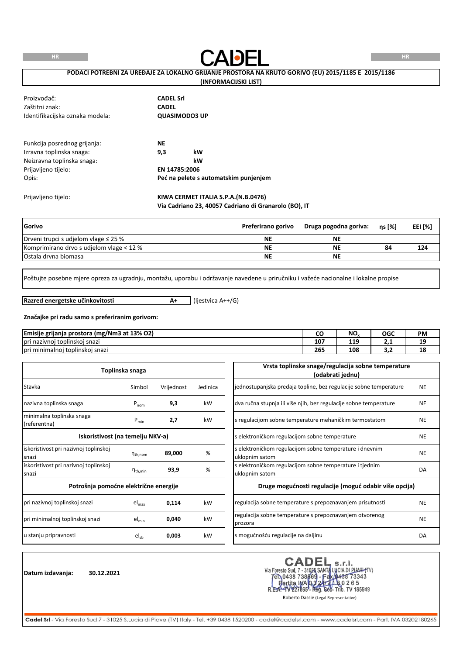**HR**



## **PODACI POTREBNI ZA UREĐAJE ZA LOKALNO GRIJANJE PROSTORA NA KRUTO GORIVO (EU) 2015/1185 E 2015/1186**

## **(INFORMACIJSKI LIST)**

| Proizvođač:<br>Zaštitni znak:<br>Identifikacijska oznaka modela:                                                       | <b>CADEL Srl</b><br><b>CADEL</b><br>QUASIMODO3 UP                                      |
|------------------------------------------------------------------------------------------------------------------------|----------------------------------------------------------------------------------------|
| Funkcija posrednog grijanja:<br>Izravna toplinska snaga:<br>Neizravna toplinska snaga:<br>Prijavljeno tijelo:<br>Opis: | <b>NE</b><br>9,3<br>kW<br>kW<br>EN 14785:2006<br>Peć na pelete s automatskim punjenjem |
| Prijavljeno tijelo:                                                                                                    | KIWA CERMET ITALIA S.P.A.(N.B.0476)                                                    |

|  | Via Cadriano 23, 40057 Cadriano di Granarolo (BO), IT |
|--|-------------------------------------------------------|
|--|-------------------------------------------------------|

| Gorivo                                    | Preferirano gorivo | Druga pogodna goriva: | ns [%] | EEI [%] |
|-------------------------------------------|--------------------|-----------------------|--------|---------|
| Drveni trupci s udjelom vlage $\leq$ 25 % | ΝE                 | <b>NE</b>             |        |         |
| Komprimirano drvo s udielom vlage < 12 %  | <b>NE</b>          | ΝE                    | 84     | 124     |
| Ostala drvna biomasa                      | ΝE                 | <b>NE</b>             |        |         |

Poštujte posebne mjere opreza za ugradnju, montažu, uporabu i održavanje navedene u priručniku i važeće nacionalne i lokalne propise

**Razred energetske učinkovitosti**

**A+** (ljestvica A++/G)

#### **Značajke pri radu samo s preferiranim gorivom:**

| Emisije<br><br>`a prostora (mg/Nm3 at 13% O2)<br>grijanja | - -<br>ີ | NO.    | OGC | <b>PM</b> |
|-----------------------------------------------------------|----------|--------|-----|-----------|
| .<br>i nazivnoj toplinskoj snazi<br>pri                   | 107      | 10<br> | ـ   | --        |
| <br>i toplinskoi snazi<br>pr'<br>'i minimalnoi            | 265      | 108    | .   | 18        |

|                                                 | Toplinska snaga        |            |          | Vrsta toplinske snage/regulacija sobne temperature<br>(odabrati jednu)    |           |
|-------------------------------------------------|------------------------|------------|----------|---------------------------------------------------------------------------|-----------|
| Stavka                                          | Simbol                 | Vrijednost | Jedinica | jednostupanjska predaja topline, bez regulacije sobne temperature         | <b>NE</b> |
| nazivna toplinska snaga                         | $P_{nom}$              | 9,3        | kW       | dva ručna stupnja ili više njih, bez regulacije sobne temperature         | <b>NE</b> |
| minimalna toplinska snaga<br>(referentna)       | $P_{min}$              | 2,7        | kW       | s regulacijom sobne temperature mehaničkim termostatom                    | <b>NE</b> |
| Iskoristivost (na temelju NKV-a)                |                        |            |          | s elektroničkom regulacijom sobne temperature                             | <b>NE</b> |
| iskoristivost pri nazivnoj toplinskoj<br>Isnazi | $n_{\text{th}$ , nom   | 89,000     | %        | s elektroničkom regulacijom sobne temperature i dnevnim<br>uklopnim satom | <b>NE</b> |
| liskoristivost pri nazivnoj toplinskoj<br>snazi | $\eta_{\text{th,min}}$ | 93,9       | %        | s elektroničkom regulacijom sobne temperature i tjednim<br>uklopnim satom | DA        |
| Potrošnja pomoćne električne energije           |                        |            |          | Druge mogućnosti regulacije (moguć odabir više opcija)                    |           |
| pri nazivnoj toplinskoj snazi                   | $el_{max}$             | 0,114      | kW       | regulacija sobne temperature s prepoznavanjem prisutnosti                 | <b>NE</b> |
| pri minimalnoj toplinskoj snazi                 | $el_{min}$             | 0,040      | kW       | regulacija sobne temperature s prepoznavanjem otvorenog<br>prozora        | <b>NE</b> |
| u stanju pripravnosti                           | $el_{sb}$              | 0,003      | kW       | s mogućnošću regulacije na daljinu                                        | DA        |

**Datum izdavanja: 30.12.2021**

CADEL S.r.I.<br>Via Foresto Sud, 7 - 31026 SANTA LUCIA DI PIAVE (TV)<br>FR.0438 738669 - Fax (0438 73343<br>R.E.A.- 1V227665 - Reg. 602- Trib. TV 185949<br>Roberto Dassie (Legal Representative) **CADEL**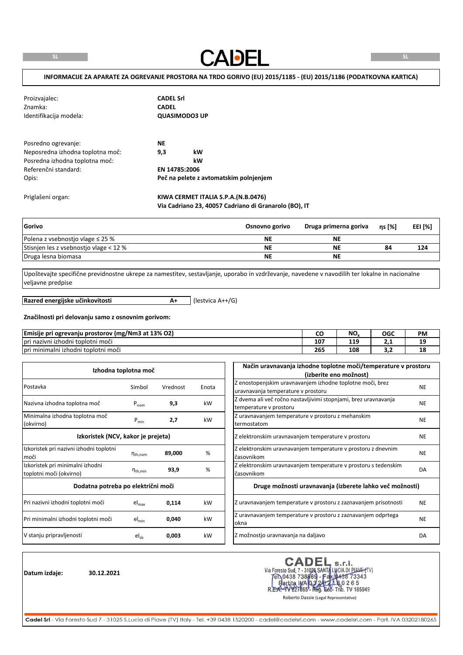**CADEL** 

| Proizvajalec:<br>Znamka:<br>Identifikacija modela: | <b>CADEL Srl</b><br><b>CADEL</b> | <b>QUASIMODO3 UP</b>                   |  |
|----------------------------------------------------|----------------------------------|----------------------------------------|--|
| Posredno ogrevanje:                                | <b>NE</b>                        |                                        |  |
| Neposredna izhodna toplotna moč:                   | 9,3                              | kW                                     |  |
| Posredna izhodna toplotna moč:                     |                                  | kW                                     |  |
| Referenčni standard:                               | EN 14785:2006                    |                                        |  |
| Opis:                                              |                                  | Peč na pelete z avtomatskim polnjenjem |  |
| Priglašeni organ:                                  |                                  | KIWA CERMET ITALIA S.P.A.(N.B.0476)    |  |

| Gorivo                                 | Osnovno gorivo | Druga primerna goriva | $ns$ [%] | EEI [%] |
|----------------------------------------|----------------|-----------------------|----------|---------|
| Polena z vsebnostjo vlage $\leq$ 25 %  | ΝE             | <b>NE</b>             |          |         |
| Stisnien les z vsebnostio vlage < 12 % | ΝE             | <b>NE</b>             | 84       | 124     |
| Druga lesna biomasa                    | ΝE             | <b>NE</b>             |          |         |

**Via Cadriano 23, 40057 Cadriano di Granarolo (BO), IT**

Upoštevajte specifične previdnostne ukrepe za namestitev, sestavljanje, uporabo in vzdrževanje, navedene v navodilih ter lokalne in nacionalne veljavne predpise

**Razred energijske učinkovitosti**

**A+** (lestvica A++/G)

#### **Značilnosti pri delovanju samo z osnovnim gorivom:**

| Emisije pri<br>`*i ogrevanju prostorov (mg/Nm3 at 13% O2)   |                 | NC<br>טיו | OGC | <b>PM</b> |
|-------------------------------------------------------------|-----------------|-----------|-----|-----------|
| $\mathbf{v}$ .<br>Tpri nazivni izhodni toplotni moči        | 10 <sup>7</sup> | 119       | .   | 10<br>--  |
| $\mathbf{v}$ .<br>.<br>Tpri minimalni izhodni toplotni moči | 265             | 108       | .   | 18        |

|                                                             | Izhodna toplotna moč |          |       | Način uravnavanja izhodne toplotne moči/temperature v prostoru                                                            |           |
|-------------------------------------------------------------|----------------------|----------|-------|---------------------------------------------------------------------------------------------------------------------------|-----------|
| Postavka                                                    | Simbol               | Vrednost | Enota | (izberite eno možnost)<br>Z enostopenjskim uravnavanjem izhodne toplotne moči, brez<br>uravnavanja temperature v prostoru | <b>NE</b> |
| Nazivna izhodna toplotna moč                                | $P_{nom}$            | 9,3      | kW    | Z dvema ali več ročno nastavljivimi stopnjami, brez uravnavanja<br>temperature v prostoru                                 | <b>NE</b> |
| Minimalna izhodna toplotna moč<br>(okvirno)                 | $P_{min}$            | 2,7      | kW    | Z uravnavanjem temperature v prostoru z mehanskim<br>termostatom                                                          | <b>NE</b> |
| Izkoristek (NCV, kakor je prejeta)                          |                      |          |       | Z elektronskim uravnavanjem temperature v prostoru                                                                        | <b>NE</b> |
| Izkoristek pri nazivni izhodni toplotni<br>moči             | $n_{th,nom}$         | 89,000   | %     | Z elektronskim uravnavanjem temperature v prostoru z dnevnim<br>časovnikom                                                | <b>NE</b> |
| Izkoristek pri minimalni izhodni<br>toplotni moči (okvirno) | $n_{\text{th,min}}$  | 93,9     | %     | Z elektronskim uravnavanjem temperature v prostoru s tedenskim<br>časovnikom                                              | DA        |
| Dodatna potreba po električni moči                          |                      |          |       | Druge možnosti uravnavanja (izberete lahko več možnosti)                                                                  |           |
| Pri nazivni izhodni toplotni moči                           | $el_{max}$           | 0,114    | kW    | Z uravnavanjem temperature v prostoru z zaznavanjem prisotnosti                                                           | <b>NE</b> |
| Pri minimalni izhodni toplotni moči                         | $el_{min}$           | 0,040    | kW    | Z uravnavanjem temperature v prostoru z zaznavanjem odprtega<br>okna                                                      | <b>NE</b> |
| V stanju pripravljenosti                                    | $el_{sb}$            | 0,003    | kW    | Z možnostjo uravnavanja na daljavo                                                                                        | DA        |

**Datum izdaje: 30.12.2021**

CADEL s.r.l.<br>Via Foresto Sud, 7 - 31026 SANTA LUCIA DI PIAVE (TV)<br>Fen 0438 738669 - Fax (0438 73343<br>Fartita INA 032224 A 80 2 6 5 227665 - Reg. Soc- Trib. TV 185949 R.E

Roberto Dassie (Legal Representative)